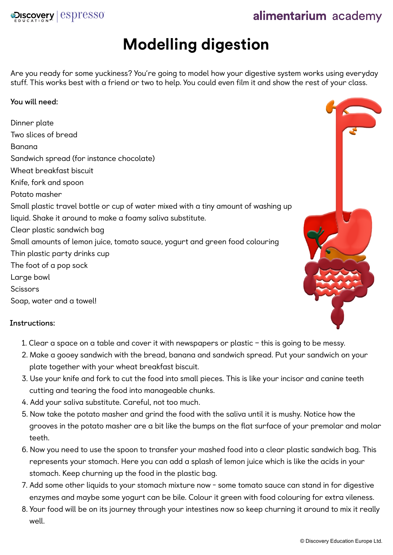

# alimentarium academy

# **Modelling digestion**

Are you ready for some yuckiness? You're going to model how your digestive system works using everyday stuff. This works best with a friend or two to help. You could even film it and show the rest of your class.

#### **You will need:**

Dinner plate Two slices of bread Banana Sandwich spread (for instance chocolate) Wheat breakfast biscuit Knife, fork and spoon Potato masher Small plastic travel bottle or cup of water mixed with a tiny amount of washing up liquid. Shake it around to make a foamy saliva substitute. Clear plastic sandwich bag Small amounts of lemon juice, tomato sauce, yogurt and green food colouring Thin plastic party drinks cup The foot of a pop sock Large bowl **Scissors** Soap, water and a towel!

## **Instructions:**

- 1. Clear a space on a table and cover it with newspapers or plastic this is going to be messy.
- 2. Make a gooey sandwich with the bread, banana and sandwich spread. Put your sandwich on your plate together with your wheat breakfast biscuit.
- 3. Use your knife and fork to cut the food into small pieces. This is like your incisor and canine teeth cutting and tearing the food into manageable chunks.
- 4. Add your saliva substitute. Careful, not too much.
- 5. Now take the potato masher and grind the food with the saliva until it is mushy. Notice how the grooves in the potato masher are a bit like the bumps on the flat surface of your premolar and molar teeth.
- 6. Now you need to use the spoon to transfer your mashed food into a clear plastic sandwich bag. This represents your stomach. Here you can add a splash of lemon juice which is like the acids in your stomach. Keep churning up the food in the plastic bag.
- 7. Add some other liquids to your stomach mixture now some tomato sauce can stand in for digestive enzymes and maybe some yogurt can be bile. Colour it green with food colouring for extra vileness.
- 8. Your food will be on its journey through your intestines now so keep churning it around to mix it really well.